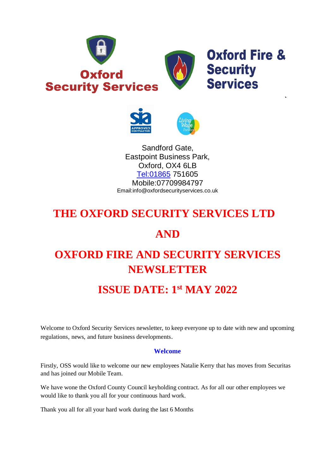



Sandford Gate, Eastpoint Business Park, Oxford, OX4 6LB [Tel:01865](tel:01865) 751605 Mobile:07709984797 Email:info@oxfordsecurityservices.co.uk

# **THE OXFORD SECURITY SERVICES LTD**

## **AND**

# **OXFORD FIRE AND SECURITY SERVICES NEWSLETTER**

# **ISSUE DATE: 1 st MAY 2022**

Welcome to Oxford Security Services newsletter, to keep everyone up to date with new and upcoming regulations, news, and future business developments.

### **Welcome**

Firstly, OSS would like to welcome our new employees Natalie Kerry that has moves from Securitas and has joined our Mobile Team.

We have wone the Oxford County Council keyholding contract. As for all our other employees we would like to thank you all for your continuous hard work.

Thank you all for all your hard work during the last 6 Months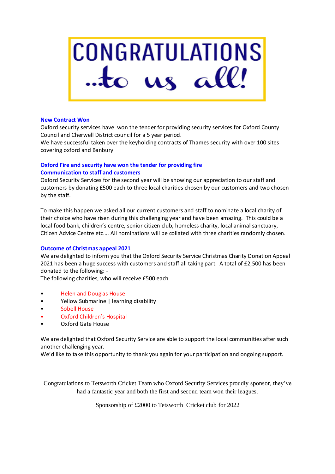# **CONGRATULATIONS**  $\frac{1}{2}$  to us all!

#### **New Contract Won**

Oxford security services have won the tender for providing security services for Oxford County Council and Cherwell District council for a 5 year period.

We have successful taken over the keyholding contracts of Thames security with over 100 sites covering oxford and Banbury

### **Oxford Fire and security have won the tender for providing fire Communication to staff and customers**

Oxford Security Services for the second year will be showing our appreciation to our staff and customers by donating £500 each to three local charities chosen by our customers and two chosen by the staff.

To make this happen we asked all our current customers and staff to nominate a local charity of their choice who have risen during this challenging year and have been amazing. This could be a local food bank, children's centre, senior citizen club, homeless charity, local animal sanctuary, Citizen Advice Centre etc…. All nominations will be collated with three charities randomly chosen.

#### **Outcome of Christmas appeal 2021**

We are delighted to inform you that the Oxford Security Service Christmas Charity Donation Appeal 2021 has been a huge success with customers and staff all taking part. A total of £2,500 has been donated to the following: -

The following charities, who will receive £500 each.

- Helen and Douglas House
- Yellow Submarine | learning disability
- Sobell House
- Oxford Children's Hospital
- Oxford Gate House

We are delighted that Oxford Security Service are able to support the local communities after such another challenging year.

We'd like to take this opportunity to thank you again for your participation and ongoing support.

Congratulations to Tetsworth Cricket Team who Oxford Security Services proudly sponsor, they've had a fantastic year and both the first and second team won their leagues.

Sponsorship of £2000 to Tetsworth Cricket club for 2022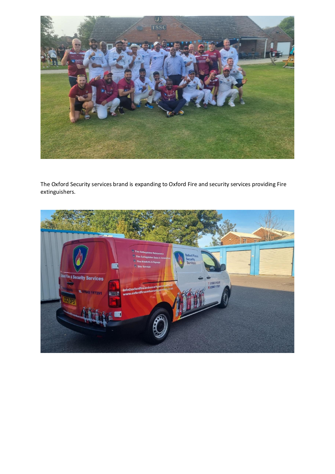

The Oxford Security services brand is expanding to Oxford Fire and security services providing Fire extinguishers.

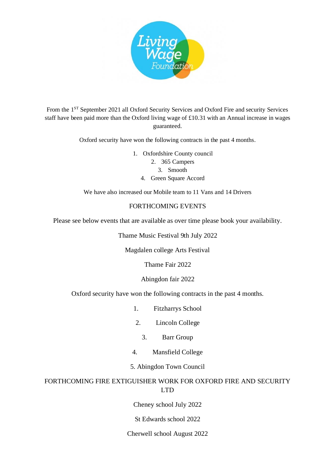

From the 1<sup>ST</sup> September 2021 all Oxford Security Services and Oxford Fire and security Services staff have been paid more than the Oxford living wage of £10.31 with an Annual increase in wages guaranteed.

Oxford security have won the following contracts in the past 4 months.

1. Oxfordshire County council 2. 365 Campers 3. Smooth 4. Green Square Accord

We have also increased our Mobile team to 11 Vans and 14 Drivers

### FORTHCOMING EVENTS

Please see below events that are available as over time please book your availability.

Thame Music Festival 9th July 2022

Magdalen college Arts Festival

Thame Fair 2022

Abingdon fair 2022

Oxford security have won the following contracts in the past 4 months.

- 1. Fitzharrys School
- 2. Lincoln College
	- 3. Barr Group
- 4. Mansfield College
- 5. Abingdon Town Council

### FORTHCOMING FIRE EXTIGUISHER WORK FOR OXFORD FIRE AND SECURITY LTD

Cheney school July 2022

St Edwards school 2022

### Cherwell school August 2022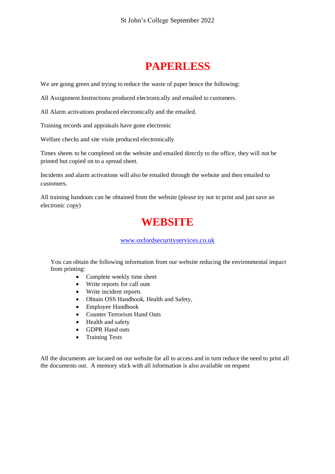# **PAPERLESS**

We are going green and trying to reduce the waste of paper hence the following:

All Assignment Instructions produced electronically and emailed to customers.

All Alarm activations produced electronically and the emailed.

Training records and appraisals have gone electronic

Welfare checks and site visits produced electronically

Times sheets to be completed on the website and emailed directly to the office, they will not be printed but copied on to a spread sheet.

Incidents and alarm activations will also be emailed through the website and then emailed to customers.

All training handouts can be obtained from the website (please try not to print and just save an electronic copy)

# **WEBSITE**

### [www.oxfordsecurityservices.co.uk](http://www.oxfordsecurityservices.co.uk/)

You can obtain the following information from our website reducing the environmental impact from printing:

- Complete weekly time sheet
- Write reports for call outs
- Write incident reports
- Obtain OSS Handbook, Health and Safety,
- Employee Handbook
- Counter Terrorism Hand Outs
- Health and safety
- GDPR Hand outs
- Training Tests

All the documents are located on our website for all to access and in turn reduce the need to print all the documents out. A memory stick with all information is also available on request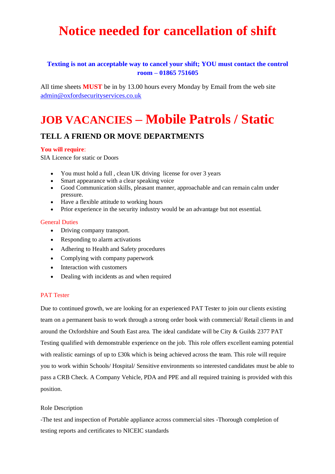# **Notice needed for cancellation of shift**

### **Texting is not an acceptable way to cancel your shift; YOU must contact the control room – 01865 751605**

All time sheets **MUST** be in by 13.00 hours every Monday by Email from the web site admin@oxfordsecurityservices.co.uk

# **JOB VACANCIES – Mobile Patrols / Static**

### **TELL A FRIEND OR MOVE DEPARTMENTS**

### **You will require**:

SIA Licence for static or Doors

- You must hold a full, clean UK driving license for over 3 years
- Smart appearance with a clear speaking voice
- Good Communication skills, pleasant manner, approachable and can remain calm under pressure.
- Have a flexible attitude to working hours
- Prior experience in the security industry would be an advantage but not essential.

#### General Duties

- Driving company transport.
- Responding to alarm activations
- Adhering to Health and Safety procedures
- Complying with company paperwork
- Interaction with customers
- Dealing with incidents as and when required

### PAT Tester

Due to continued growth, we are looking for an experienced PAT Tester to join our clients existing team on a permanent basis to work through a strong order book with commercial/ Retail clients in and around the Oxfordshire and South East area. The ideal candidate will be City & Guilds 2377 PAT Testing qualified with demonstrable experience on the job. This role offers excellent earning potential with realistic earnings of up to £30k which is being achieved across the team. This role will require you to work within Schools/ Hospital/ Sensitive environments so interested candidates must be able to pass a CRB Check. A Company Vehicle, PDA and PPE and all required training is provided with this position.

#### Role Description

-The test and inspection of Portable appliance across commercial sites -Thorough completion of testing reports and certificates to NICEIC standards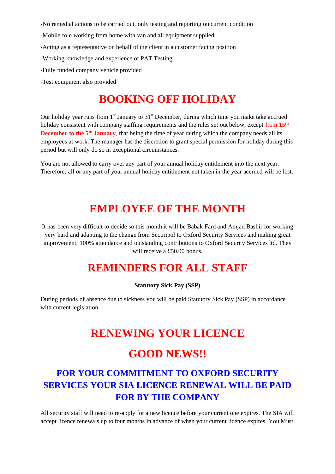-No remedial actions to be carried out, only testing and reporting on current condition

- -Mobile role working from home with van and all equipment supplied
- -Acting as a representative on behalf of the client in a customer facing position
- -Working knowledge and experience of PAT Testing
- -Fully funded company vehicle provided
- -Test equipment also provided

## **BOOKING OFF HOLIDAY**

Our holiday year runs from 1<sup>st</sup> January to 31<sup>st</sup> December, during which time you make take accrued holiday consistent with company staffing requirements and the rules set out below, except from **15th December to the 5<sup>th</sup> January**, that being the time of year during which the company needs all its employees at work. The manager has the discretion to grant special permission for holiday during this period but will only do so in exceptional circumstances.

You are not allowed to carry over any part of your annual holiday entitlement into the next year. Therefore, all or any part of your annual holiday entitlement not taken in the year accrued will be lost.

### **EMPLOYEE OF THE MONTH**

It has been very difficult to decide so this month it will be Babak Fard and Amjad Bashir for working very hard and adapting to the change from Securipol to Oxford Security Services and making great improvement, 100% attendance and outstanding contributions to Oxford Security Services ltd. They will receive a £50.00 bonus.

### **REMINDERS FOR ALL STAFF**

#### **Statutory Sick Pay (SSP)**

During periods of absence due to sickness you will be paid Statutory Sick Pay (SSP) in accordance with current legislation

### **RENEWING YOUR LICENCE**

### **GOOD NEWS!!**

### **FOR YOUR COMMITMENT TO OXFORD SECURITY SERVICES YOUR SIA LICENCE RENEWAL WILL BE PAID FOR BY THE COMPANY**

All security staff will need to re-apply for a new licence before your current one expires. The SIA will accept licence renewals up to four months in advance of when your current licence expires. You Must